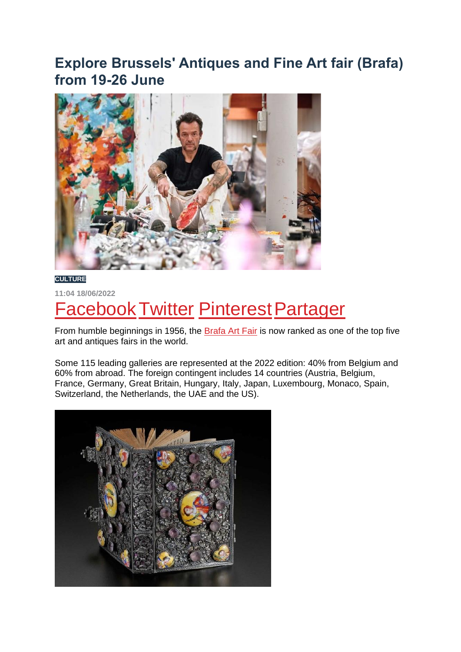## **Explore Brussels' Antiques and Fine Art fair (Brafa) from 19-26 June**



**CULTURE**

**11:04 18/06/2022**

## **Facebook Twitter Pinterest Partager**

From humble beginnings in 1956, the Brafa Art Fair is now ranked as one of the top five art and antiques fairs in the world.

Some 115 leading galleries are represented at the 2022 edition: 40% from Belgium and 60% from abroad. The foreign contingent includes 14 countries (Austria, Belgium, France, Germany, Great Britain, Hungary, Italy, Japan, Luxembourg, Monaco, Spain, Switzerland, the Netherlands, the UAE and the US).

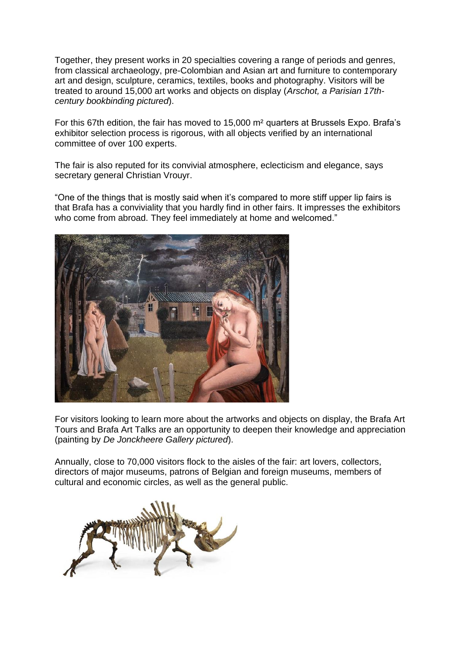Together, they present works in 20 specialties covering a range of periods and genres, from classical archaeology, pre-Colombian and Asian art and furniture to contemporary art and design, sculpture, ceramics, textiles, books and photography. Visitors will be treated to around 15,000 art works and objects on display (*Arschot, a Parisian 17thcentury bookbinding pictured*).

For this 67th edition, the fair has moved to 15,000 m² quarters at Brussels Expo. Brafa's exhibitor selection process is rigorous, with all objects verified by an international committee of over 100 experts.

The fair is also reputed for its convivial atmosphere, eclecticism and elegance, says secretary general Christian Vrouyr.

"One of the things that is mostly said when it's compared to more stiff upper lip fairs is that Brafa has a conviviality that you hardly find in other fairs. It impresses the exhibitors who come from abroad. They feel immediately at home and welcomed."



For visitors looking to learn more about the artworks and objects on display, the Brafa Art Tours and Brafa Art Talks are an opportunity to deepen their knowledge and appreciation (painting by *De Jonckheere Gallery pictured*).

Annually, close to 70,000 visitors flock to the aisles of the fair: art lovers, collectors, directors of major museums, patrons of Belgian and foreign museums, members of cultural and economic circles, as well as the general public.